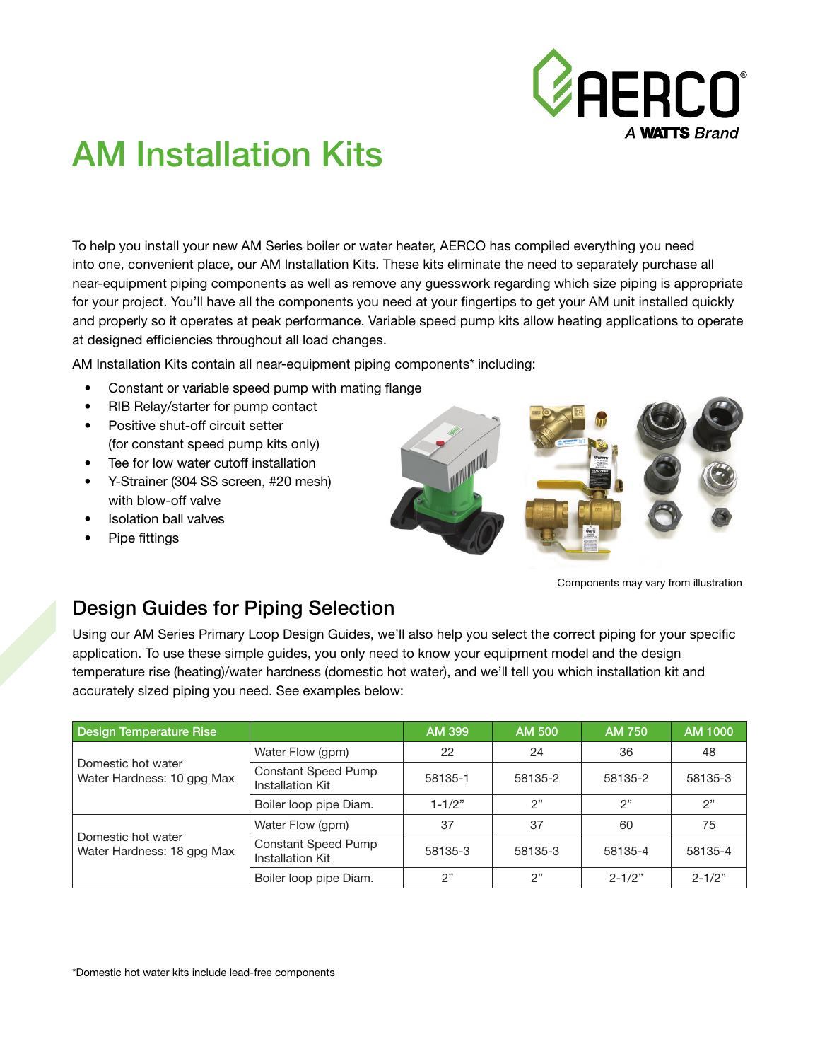

# AM Installation Kits

To help you install your new AM Series boiler or water heater, AERCO has compiled everything you need into one, convenient place, our AM Installation Kits. These kits eliminate the need to separately purchase all near-equipment piping components as well as remove any guesswork regarding which size piping is appropriate for your project. You'll have all the components you need at your fingertips to get your AM unit installed quickly and properly so it operates at peak performance. Variable speed pump kits allow heating applications to operate at designed efficiencies throughout all load changes.

AM Installation Kits contain all near-equipment piping components\* including:

- Constant or variable speed pump with mating flange
- RIB Relay/starter for pump contact
- Positive shut-off circuit setter (for constant speed pump kits only)
- Tee for low water cutoff installation
- Y-Strainer (304 SS screen, #20 mesh) with blow-off valve
- Isolation ball valves
- Pipe fittings



Components may vary from illustration

## Design Guides for Piping Selection

Using our AM Series Primary Loop Design Guides, we'll also help you select the correct piping for your specific application. To use these simple guides, you only need to know your equipment model and the design temperature rise (heating)/water hardness (domestic hot water), and we'll tell you which installation kit and accurately sized piping you need. See examples below:

| Design Temperature Rise                          |                                                | AM 399     | <b>AM 500</b> | <b>AM 750</b> | AM 1000    |
|--------------------------------------------------|------------------------------------------------|------------|---------------|---------------|------------|
| Domestic hot water<br>Water Hardness: 10 gpg Max | Water Flow (gpm)                               | 22         | 24            | 36            | 48         |
|                                                  | <b>Constant Speed Pump</b><br>Installation Kit | 58135-1    | 58135-2       | 58135-2       | 58135-3    |
|                                                  | Boiler loop pipe Diam.                         | $1 - 1/2"$ | ን"            | 2"            | 2"         |
| Domestic hot water<br>Water Hardness: 18 gpg Max | Water Flow (gpm)                               | 37         | 37            | 60            | 75         |
|                                                  | <b>Constant Speed Pump</b><br>Installation Kit | 58135-3    | 58135-3       | 58135-4       | 58135-4    |
|                                                  | Boiler loop pipe Diam.                         | 2"         | 2"            | $2 - 1/2"$    | $2 - 1/2"$ |